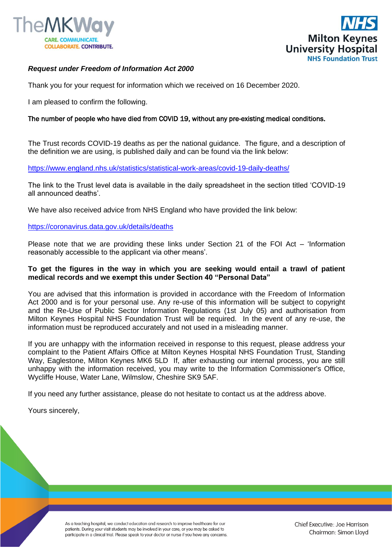



## *Request under Freedom of Information Act 2000*

Thank you for your request for information which we received on 16 December 2020.

I am pleased to confirm the following.

## The number of people who have died from COVID 19, without any pre-existing medical conditions.

The Trust records COVID-19 deaths as per the national guidance. The figure, and a description of the definition we are using, is published daily and can be found via the link below:

[https://www.england.nhs.uk/statistics/statistical-work-areas/covid-19-daily-deaths/](https://gbr01.safelinks.protection.outlook.com/?url=https%3A%2F%2Fwww.england.nhs.uk%2Fstatistics%2Fstatistical-work-areas%2Fcovid-19-daily-deaths%2F&data=04|01|Foi.PublicationSchemeCo-ordinator%40mkuh.nhs.uk|ba8ee65e01524be721f808d8acb44587|e96dd0a15d474a949e4a5c1056daa82c|0|0|637449237546877254|Unknown|TWFpbGZsb3d8eyJWIjoiMC4wLjAwMDAiLCJQIjoiV2luMzIiLCJBTiI6Ik1haWwiLCJXVCI6Mn0%3D|1000&sdata=tQrQ18Ye%2FOq6tOvxn6FgOk66fLKAp6Fwn8InSrNYFKw%3D&reserved=0)

The link to the Trust level data is available in the daily spreadsheet in the section titled 'COVID-19 all announced deaths'.

We have also received advice from NHS England who have provided the link below:

## [https://coronavirus.data.gov.uk/details/deaths](https://gbr01.safelinks.protection.outlook.com/?url=https%3A%2F%2Fcoronavirus.data.gov.uk%2Fdetails%2Fdeaths&data=04|01|Foi.PublicationSchemeCo-ordinator%40mkuh.nhs.uk|ba8ee65e01524be721f808d8acb44587|e96dd0a15d474a949e4a5c1056daa82c|0|0|637449237546877254|Unknown|TWFpbGZsb3d8eyJWIjoiMC4wLjAwMDAiLCJQIjoiV2luMzIiLCJBTiI6Ik1haWwiLCJXVCI6Mn0%3D|1000&sdata=I3uixc%2FYjFXhBwbns0ROhHvM0LwVSciQ1vYHG5SothY%3D&reserved=0)

Please note that we are providing these links under Section 21 of the FOI Act – 'Information reasonably accessible to the applicant via other means'.

## **To get the figures in the way in which you are seeking would entail a trawl of patient medical records and we exempt this under Section 40 "Personal Data"**

You are advised that this information is provided in accordance with the Freedom of Information Act 2000 and is for your personal use. Any re-use of this information will be subject to copyright and the Re-Use of Public Sector Information Regulations (1st July 05) and authorisation from Milton Keynes Hospital NHS Foundation Trust will be required. In the event of any re-use, the information must be reproduced accurately and not used in a misleading manner.

If you are unhappy with the information received in response to this request, please address your complaint to the Patient Affairs Office at Milton Keynes Hospital NHS Foundation Trust, Standing Way, Eaglestone, Milton Keynes MK6 5LD If, after exhausting our internal process, you are still unhappy with the information received, you may write to the Information Commissioner's Office, Wycliffe House, Water Lane, Wilmslow, Cheshire SK9 5AF.

If you need any further assistance, please do not hesitate to contact us at the address above.

Yours sincerely,

As a teaching hospital, we conduct education and research to improve healthcare for our patients. During your visit students may be involved in your care, or you may be asked to participate in a clinical trial. Please speak to your doctor or nurse if you have any concerns.